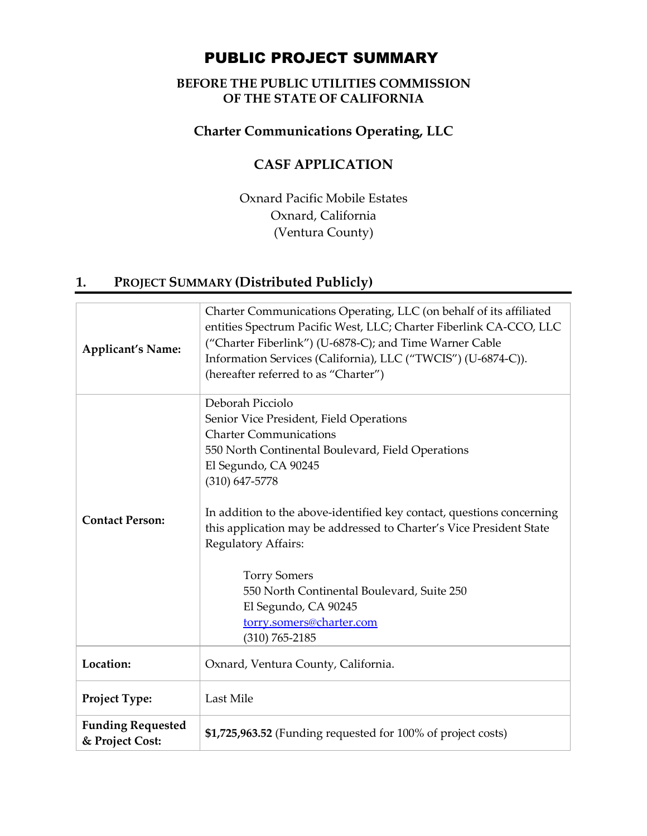# PUBLIC PROJECT SUMMARY

### **BEFORE THE PUBLIC UTILITIES COMMISSION OF THE STATE OF CALIFORNIA**

### **Charter Communications Operating, LLC**

## **CASF APPLICATION**

Oxnard Pacific Mobile Estates Oxnard, California (Ventura County)

## **1. PROJECT SUMMARY (Distributed Publicly)**

| <b>Applicant's Name:</b>                    | Charter Communications Operating, LLC (on behalf of its affiliated<br>entities Spectrum Pacific West, LLC; Charter Fiberlink CA-CCO, LLC<br>("Charter Fiberlink") (U-6878-C); and Time Warner Cable<br>Information Services (California), LLC ("TWCIS") (U-6874-C)).<br>(hereafter referred to as "Charter")                                                                                                                                                                                                          |
|---------------------------------------------|-----------------------------------------------------------------------------------------------------------------------------------------------------------------------------------------------------------------------------------------------------------------------------------------------------------------------------------------------------------------------------------------------------------------------------------------------------------------------------------------------------------------------|
| <b>Contact Person:</b>                      | Deborah Picciolo<br>Senior Vice President, Field Operations<br><b>Charter Communications</b><br>550 North Continental Boulevard, Field Operations<br>El Segundo, CA 90245<br>$(310) 647 - 5778$<br>In addition to the above-identified key contact, questions concerning<br>this application may be addressed to Charter's Vice President State<br>Regulatory Affairs:<br><b>Torry Somers</b><br>550 North Continental Boulevard, Suite 250<br>El Segundo, CA 90245<br>torry.somers@charter.com<br>$(310) 765 - 2185$ |
| Location:                                   | Oxnard, Ventura County, California.                                                                                                                                                                                                                                                                                                                                                                                                                                                                                   |
| Project Type:                               | Last Mile                                                                                                                                                                                                                                                                                                                                                                                                                                                                                                             |
| <b>Funding Requested</b><br>& Project Cost: | \$1,725,963.52 (Funding requested for 100% of project costs)                                                                                                                                                                                                                                                                                                                                                                                                                                                          |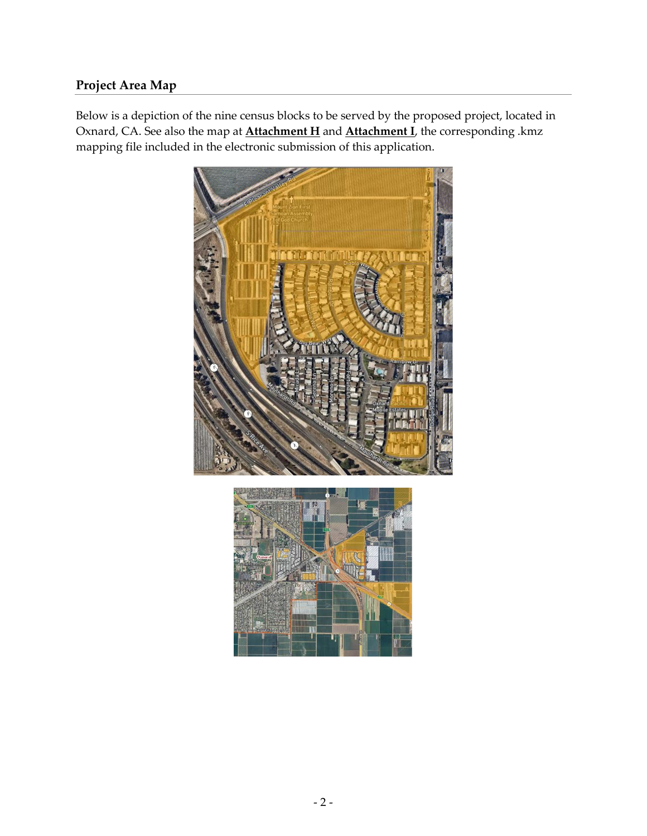### **Project Area Map**

Below is a depiction of the nine census blocks to be served by the proposed project, located in Oxnard, CA. See also the map at **Attachment H** and **Attachment I**, the corresponding .kmz mapping file included in the electronic submission of this application.



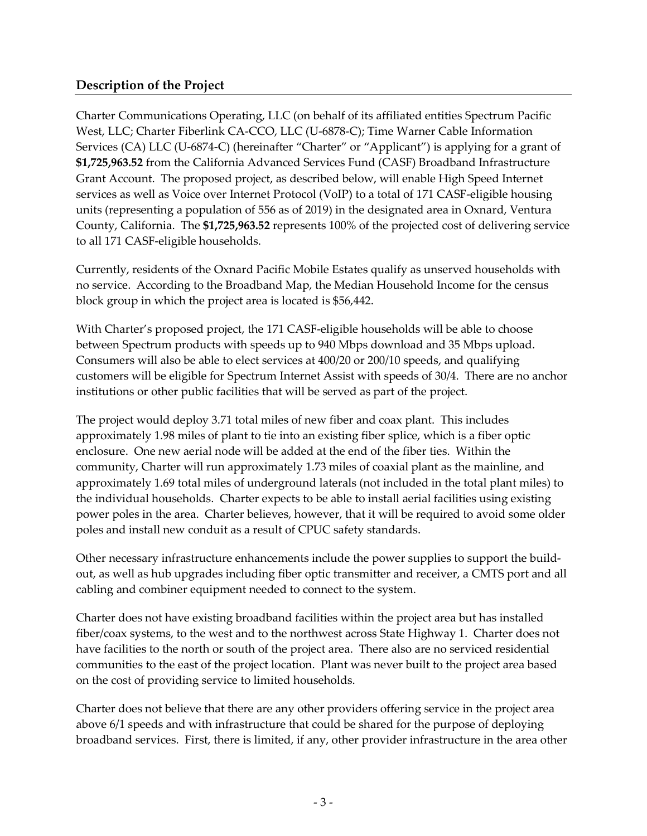#### **Description of the Project**

Charter Communications Operating, LLC (on behalf of its affiliated entities Spectrum Pacific West, LLC; Charter Fiberlink CA-CCO, LLC (U-6878-C); Time Warner Cable Information Services (CA) LLC (U-6874-C) (hereinafter "Charter" or "Applicant") is applying for a grant of **\$1,725,963.52** from the California Advanced Services Fund (CASF) Broadband Infrastructure Grant Account. The proposed project, as described below, will enable High Speed Internet services as well as Voice over Internet Protocol (VoIP) to a total of 171 CASF-eligible housing units (representing a population of 556 as of 2019) in the designated area in Oxnard, Ventura County, California. The **\$1,725,963.52** represents 100% of the projected cost of delivering service to all 171 CASF-eligible households.

Currently, residents of the Oxnard Pacific Mobile Estates qualify as unserved households with no service. According to the Broadband Map, the Median Household Income for the census block group in which the project area is located is \$56,442.

With Charter's proposed project, the 171 CASF-eligible households will be able to choose between Spectrum products with speeds up to 940 Mbps download and 35 Mbps upload. Consumers will also be able to elect services at 400/20 or 200/10 speeds, and qualifying customers will be eligible for Spectrum Internet Assist with speeds of 30/4. There are no anchor institutions or other public facilities that will be served as part of the project.

The project would deploy 3.71 total miles of new fiber and coax plant. This includes approximately 1.98 miles of plant to tie into an existing fiber splice, which is a fiber optic enclosure. One new aerial node will be added at the end of the fiber ties. Within the community, Charter will run approximately 1.73 miles of coaxial plant as the mainline, and approximately 1.69 total miles of underground laterals (not included in the total plant miles) to the individual households. Charter expects to be able to install aerial facilities using existing power poles in the area. Charter believes, however, that it will be required to avoid some older poles and install new conduit as a result of CPUC safety standards.

Other necessary infrastructure enhancements include the power supplies to support the buildout, as well as hub upgrades including fiber optic transmitter and receiver, a CMTS port and all cabling and combiner equipment needed to connect to the system.

Charter does not have existing broadband facilities within the project area but has installed fiber/coax systems, to the west and to the northwest across State Highway 1. Charter does not have facilities to the north or south of the project area. There also are no serviced residential communities to the east of the project location. Plant was never built to the project area based on the cost of providing service to limited households.

Charter does not believe that there are any other providers offering service in the project area above 6/1 speeds and with infrastructure that could be shared for the purpose of deploying broadband services. First, there is limited, if any, other provider infrastructure in the area other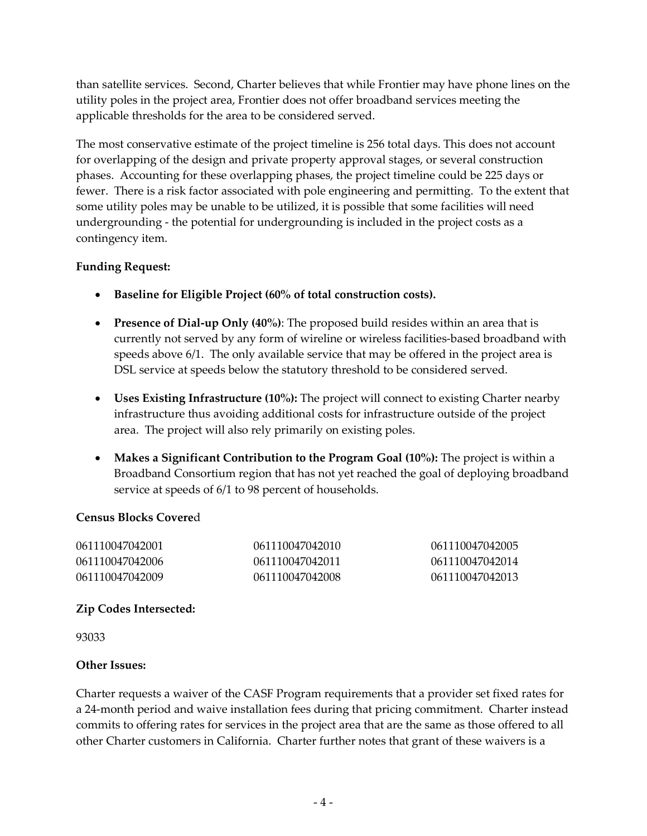than satellite services. Second, Charter believes that while Frontier may have phone lines on the utility poles in the project area, Frontier does not offer broadband services meeting the applicable thresholds for the area to be considered served.

The most conservative estimate of the project timeline is 256 total days. This does not account for overlapping of the design and private property approval stages, or several construction phases. Accounting for these overlapping phases, the project timeline could be 225 days or fewer. There is a risk factor associated with pole engineering and permitting. To the extent that some utility poles may be unable to be utilized, it is possible that some facilities will need undergrounding - the potential for undergrounding is included in the project costs as a contingency item.

#### **Funding Request:**

- **Baseline for Eligible Project (60% of total construction costs).**
- **Presence of Dial-up Only (40%)**: The proposed build resides within an area that is currently not served by any form of wireline or wireless facilities-based broadband with speeds above 6/1. The only available service that may be offered in the project area is DSL service at speeds below the statutory threshold to be considered served.
- **Uses Existing Infrastructure (10%):** The project will connect to existing Charter nearby infrastructure thus avoiding additional costs for infrastructure outside of the project area. The project will also rely primarily on existing poles.
- **Makes a Significant Contribution to the Program Goal (10%):** The project is within a Broadband Consortium region that has not yet reached the goal of deploying broadband service at speeds of 6/1 to 98 percent of households.

#### **Census Blocks Covere**d

| 061110047042001 | 061110047042010 | 061110047042005 |
|-----------------|-----------------|-----------------|
| 061110047042006 | 061110047042011 | 061110047042014 |
| 061110047042009 | 061110047042008 | 061110047042013 |

#### **Zip Codes Intersected:**

93033

#### **Other Issues:**

Charter requests a waiver of the CASF Program requirements that a provider set fixed rates for a 24-month period and waive installation fees during that pricing commitment. Charter instead commits to offering rates for services in the project area that are the same as those offered to all other Charter customers in California. Charter further notes that grant of these waivers is a